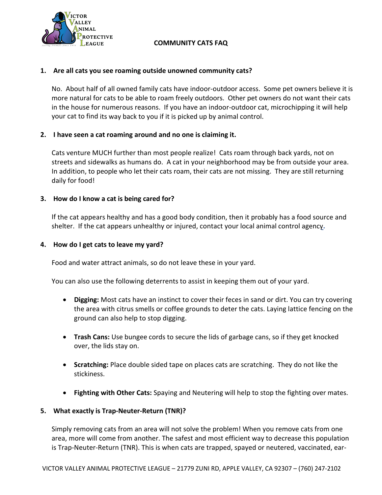

# **COMMUNITY CATS FAQ**

## **1. Are all cats you see roaming outside unowned community cats?**

No. About half of all owned family cats have indoor-outdoor access. Some pet owners believe it is more natural for cats to be able to roam freely outdoors. Other pet owners do not want their cats in the house for numerous reasons. If you have an indoor-outdoor cat, microchipping it will help your cat to find its way back to you if it is picked up by animal control.

## **2. I have seen a cat roaming around and no one is claiming it.**

Cats venture MUCH further than most people realize! Cats roam through back yards, not on streets and sidewalks as humans do. A cat in your neighborhood may be from outside your area. In addition, to people who let their cats roam, their cats are not missing. They are still returning daily for food!

### **3. How do I know a cat is being cared for?**

If the cat appears healthy and has a good body condition, then it probably has a food source and shelter. If the cat appears unhealthy or injured, contact your local animal control agency**.**

### **4. How do I get cats to leave my yard?**

Food and water attract animals, so do not leave these in your yard.

You can also use the following deterrents to assist in keeping them out of your yard.

- **Digging:** Most cats have an instinct to cover their feces in sand or dirt. You can try covering the area with citrus smells or coffee grounds to deter the cats. Laying lattice fencing on the ground can also help to stop digging.
- **Trash Cans:** Use bungee cords to secure the lids of garbage cans, so if they get knocked over, the lids stay on.
- **Scratching:** Place double sided tape on places cats are scratching. They do not like the stickiness.
- **Fighting with Other Cats:** Spaying and Neutering will help to stop the fighting over mates.

### **5. What exactly is Trap-Neuter-Return (TNR)?**

Simply removing cats from an area will not solve the problem! When you remove cats from one area, more will come from another. The safest and most efficient way to decrease this population is Trap-Neuter-Return (TNR). This is when cats are trapped, spayed or neutered, vaccinated, ear